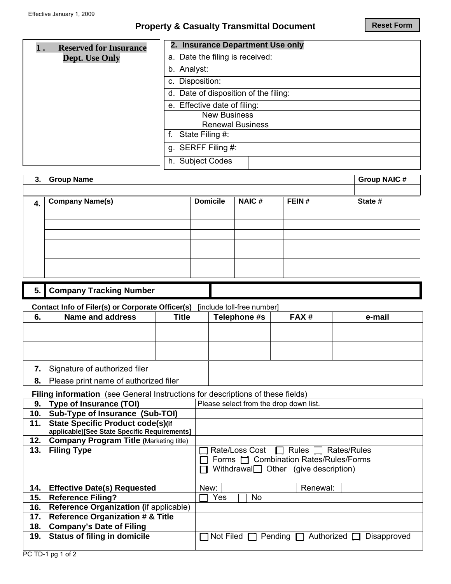## **Property & Casualty Transmittal Document**

| <b>Reserved for Insurance</b> | 2. Insurance Department Use only      |
|-------------------------------|---------------------------------------|
| <b>Dept.</b> Use Only         | a. Date the filing is received:       |
|                               | b. Analyst:                           |
|                               | c. Disposition:                       |
|                               | d. Date of disposition of the filing: |
|                               | e. Effective date of filing:          |
|                               | <b>New Business</b>                   |
|                               | <b>Renewal Business</b>               |
|                               | State Filing #:                       |
|                               | g. SERFF Filing #:                    |
|                               | h. Subject Codes                      |
|                               |                                       |

| 3.  | <b>Group Name</b>              |                 |              |       |         |  |
|-----|--------------------------------|-----------------|--------------|-------|---------|--|
|     |                                |                 |              |       |         |  |
| 4.  | <b>Company Name(s)</b>         | <b>Domicile</b> | <b>NAIC#</b> | FEIN# | State # |  |
|     |                                |                 |              |       |         |  |
|     |                                |                 |              |       |         |  |
|     |                                |                 |              |       |         |  |
|     |                                |                 |              |       |         |  |
|     |                                |                 |              |       |         |  |
|     |                                |                 |              |       |         |  |
|     |                                |                 |              |       |         |  |
| 5.1 | <b>Company Tracking Number</b> |                 |              |       |         |  |

#### **Contact Info of Filer(s) or Corporate Officer(s)** [include toll-free number]

| 6. | <b>Name and address</b>               | Title | Telephone #s | FAX# | e-mail |
|----|---------------------------------------|-------|--------------|------|--------|
|    |                                       |       |              |      |        |
|    |                                       |       |              |      |        |
|    |                                       |       |              |      |        |
|    |                                       |       |              |      |        |
|    | Signature of authorized filer         |       |              |      |        |
| 8. | Please print name of authorized filer |       |              |      |        |

**Filing information** (see General Instructions for descriptions of these fields)

| 9.  | <b>Type of Insurance (TOI)</b>                 | Please select from the drop down list.                        |
|-----|------------------------------------------------|---------------------------------------------------------------|
| 10. | Sub-Type of Insurance (Sub-TOI)                | $\blacksquare$                                                |
| 11. | <b>State Specific Product code(s)(if</b>       |                                                               |
|     | applicable)[See State Specific Requirements]   |                                                               |
| 12. | <b>Company Program Title (Marketing title)</b> |                                                               |
| 13. | <b>Filing Type</b>                             | Rate/Loss Cost □ Rules □ Rates/Rules                          |
|     |                                                | □ Forms □ Combination Rates/Rules/Forms                       |
|     |                                                | Withdrawal $\Box$ Other (give description)                    |
|     |                                                |                                                               |
| 14. | <b>Effective Date(s) Requested</b>             | New:<br>Renewal:                                              |
| 15. | <b>Reference Filing?</b>                       | Yes<br><b>No</b>                                              |
| 16. | Reference Organization (if applicable)         |                                                               |
| 17. | <b>Reference Organization # &amp; Title</b>    |                                                               |
| 18. | <b>Company's Date of Filing</b>                |                                                               |
| 19. | <b>Status of filing in domicile</b>            | Not Filed $\Box$ Pending $\Box$ Authorized $\Box$ Disapproved |
|     |                                                |                                                               |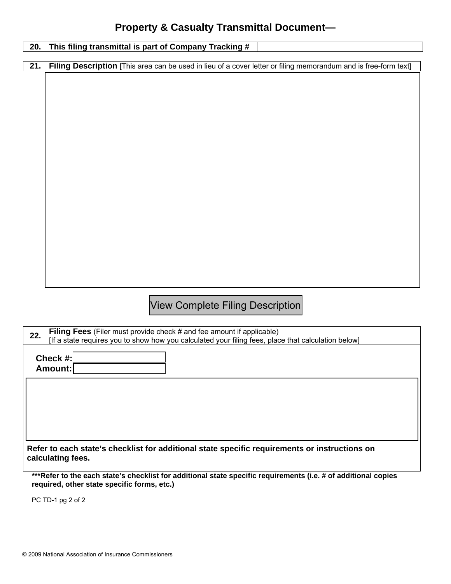# **Property & Casualty Transmittal Document—**

| This filing transmittal is part of Company Tracking #<br>20.                                                                                                   |  |  |  |  |
|----------------------------------------------------------------------------------------------------------------------------------------------------------------|--|--|--|--|
|                                                                                                                                                                |  |  |  |  |
| 21.<br>Filing Description [This area can be used in lieu of a cover letter or filing memorandum and is free-form text]                                         |  |  |  |  |
|                                                                                                                                                                |  |  |  |  |
|                                                                                                                                                                |  |  |  |  |
|                                                                                                                                                                |  |  |  |  |
|                                                                                                                                                                |  |  |  |  |
|                                                                                                                                                                |  |  |  |  |
|                                                                                                                                                                |  |  |  |  |
|                                                                                                                                                                |  |  |  |  |
|                                                                                                                                                                |  |  |  |  |
|                                                                                                                                                                |  |  |  |  |
|                                                                                                                                                                |  |  |  |  |
|                                                                                                                                                                |  |  |  |  |
|                                                                                                                                                                |  |  |  |  |
|                                                                                                                                                                |  |  |  |  |
|                                                                                                                                                                |  |  |  |  |
|                                                                                                                                                                |  |  |  |  |
|                                                                                                                                                                |  |  |  |  |
|                                                                                                                                                                |  |  |  |  |
|                                                                                                                                                                |  |  |  |  |
|                                                                                                                                                                |  |  |  |  |
|                                                                                                                                                                |  |  |  |  |
| <b>View Complete Filing Description</b>                                                                                                                        |  |  |  |  |
|                                                                                                                                                                |  |  |  |  |
| Filing Fees (Filer must provide check # and fee amount if applicable)<br>22.                                                                                   |  |  |  |  |
| [If a state requires you to show how you calculated your filing fees, place that calculation below]                                                            |  |  |  |  |
| Check #:                                                                                                                                                       |  |  |  |  |
| Amount:                                                                                                                                                        |  |  |  |  |
|                                                                                                                                                                |  |  |  |  |
|                                                                                                                                                                |  |  |  |  |
|                                                                                                                                                                |  |  |  |  |
|                                                                                                                                                                |  |  |  |  |
|                                                                                                                                                                |  |  |  |  |
|                                                                                                                                                                |  |  |  |  |
| Refer to each state's checklist for additional state specific requirements or instructions on                                                                  |  |  |  |  |
| calculating fees.                                                                                                                                              |  |  |  |  |
|                                                                                                                                                                |  |  |  |  |
| *** Refer to the each state's checklist for additional state specific requirements (i.e. # of additional copies<br>required, other state specific forms, etc.) |  |  |  |  |

PC TD-1 pg 2 of 2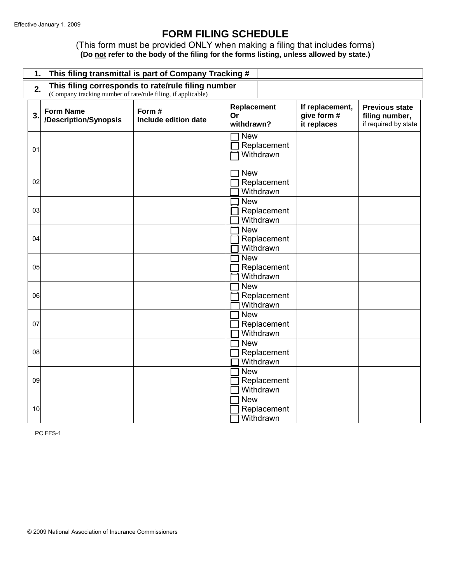## **FORM FILING SCHEDULE**

(This form must be provided ONLY when making a filing that includes forms) **(Do not refer to the body of the filing for the forms listing, unless allowed by state.)** 

| 1.               |                                                                                                                          | This filing transmittal is part of Company Tracking # |                                        |                                               |                                                                 |  |
|------------------|--------------------------------------------------------------------------------------------------------------------------|-------------------------------------------------------|----------------------------------------|-----------------------------------------------|-----------------------------------------------------------------|--|
|                  | This filing corresponds to rate/rule filing number<br>2.<br>(Company tracking number of rate/rule filing, if applicable) |                                                       |                                        |                                               |                                                                 |  |
| $\overline{3}$ . | <b>Form Name</b><br>/Description/Synopsis                                                                                | Form #<br>Include edition date                        | Replacement<br>Or<br>withdrawn?        | If replacement,<br>give form #<br>it replaces | <b>Previous state</b><br>filing number,<br>if required by state |  |
| 01               |                                                                                                                          |                                                       | <b>New</b><br>Replacement<br>Withdrawn |                                               |                                                                 |  |
| 02               |                                                                                                                          |                                                       | <b>New</b><br>Replacement<br>Withdrawn |                                               |                                                                 |  |
| 03               |                                                                                                                          |                                                       | <b>New</b><br>Replacement<br>Withdrawn |                                               |                                                                 |  |
| 04               |                                                                                                                          |                                                       | <b>New</b><br>Replacement<br>Withdrawn |                                               |                                                                 |  |
| 05               |                                                                                                                          |                                                       | <b>New</b><br>Replacement<br>Withdrawn |                                               |                                                                 |  |
| 06               |                                                                                                                          |                                                       | <b>New</b><br>Replacement<br>Withdrawn |                                               |                                                                 |  |
| 07               |                                                                                                                          |                                                       | <b>New</b><br>Replacement<br>Withdrawn |                                               |                                                                 |  |
| 08               |                                                                                                                          |                                                       | <b>New</b><br>Replacement<br>Withdrawn |                                               |                                                                 |  |
| 09               |                                                                                                                          |                                                       | <b>New</b><br>Replacement<br>Withdrawn |                                               |                                                                 |  |
| 10               |                                                                                                                          |                                                       | <b>New</b><br>Replacement<br>Withdrawn |                                               |                                                                 |  |

PC FFS-1